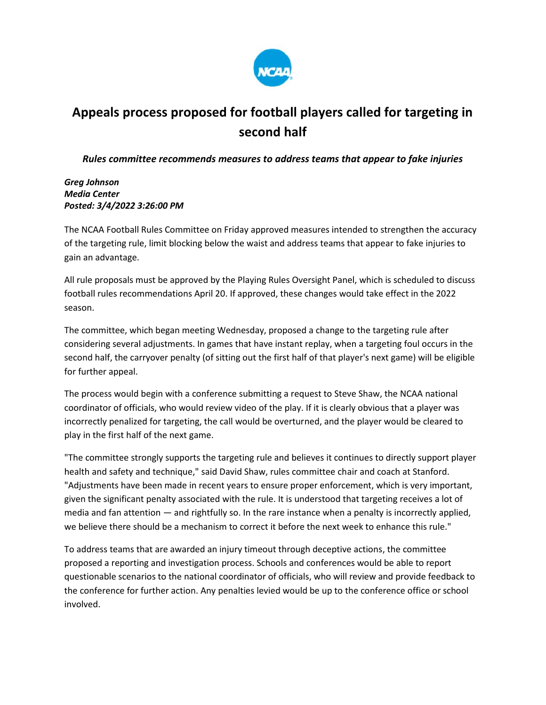

# **Appeals process proposed for football players called for targeting in second half**

## *Rules committee recommends measures to address teams that appear to fake injuries*

#### *Greg Johnson Media Center Posted: 3/4/2022 3:26:00 PM*

The NCAA Football Rules Committee on Friday approved measures intended to strengthen the accuracy of the targeting rule, limit blocking below the waist and address teams that appear to fake injuries to gain an advantage.

All rule proposals must be approved by the Playing Rules Oversight Panel, which is scheduled to discuss football rules recommendations April 20. If approved, these changes would take effect in the 2022 season.

The committee, which began meeting Wednesday, proposed a change to the targeting rule after considering several adjustments. In games that have instant replay, when a targeting foul occurs in the second half, the carryover penalty (of sitting out the first half of that player's next game) will be eligible for further appeal.

The process would begin with a conference submitting a request to Steve Shaw, the NCAA national coordinator of officials, who would review video of the play. If it is clearly obvious that a player was incorrectly penalized for targeting, the call would be overturned, and the player would be cleared to play in the first half of the next game.

"The committee strongly supports the targeting rule and believes it continues to directly support player health and safety and technique," said David Shaw, rules committee chair and coach at Stanford. "Adjustments have been made in recent years to ensure proper enforcement, which is very important, given the significant penalty associated with the rule. It is understood that targeting receives a lot of media and fan attention — and rightfully so. In the rare instance when a penalty is incorrectly applied, we believe there should be a mechanism to correct it before the next week to enhance this rule."

To address teams that are awarded an injury timeout through deceptive actions, the committee proposed a reporting and investigation process. Schools and conferences would be able to report questionable scenarios to the national coordinator of officials, who will review and provide feedback to the conference for further action. Any penalties levied would be up to the conference office or school involved.